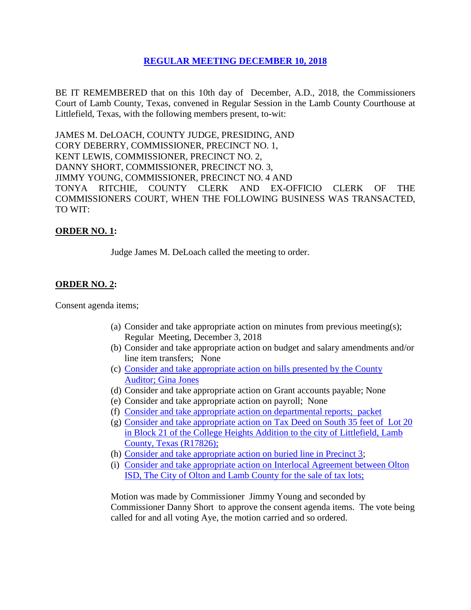# **REGULAR [MEETING DECEMBER 10, 2018](Links%202018-12-10-Regular/01%20AGENDA%20REGULAR%20MEETING%20DECEMBER%2010,%202018.pdf)**

BE IT REMEMBERED that on this 10th day of December, A.D., 2018, the Commissioners Court of Lamb County, Texas, convened in Regular Session in the Lamb County Courthouse at Littlefield, Texas, with the following members present, to-wit:

JAMES M. DeLOACH, COUNTY JUDGE, PRESIDING, AND CORY DEBERRY, COMMISSIONER, PRECINCT NO. 1, KENT LEWIS, COMMISSIONER, PRECINCT NO. 2, DANNY SHORT, COMMISSIONER, PRECINCT NO. 3, JIMMY YOUNG, COMMISSIONER, PRECINCT NO. 4 AND TONYA RITCHIE, COUNTY CLERK AND EX-OFFICIO CLERK OF THE COMMISSIONERS COURT, WHEN THE FOLLOWING BUSINESS WAS TRANSACTED, TO WIT:

## **ORDER NO. 1:**

Judge James M. DeLoach called the meeting to order.

## **ORDER NO. 2:**

Consent agenda items;

- (a) Consider and take appropriate action on minutes from previous meeting(s); Regular Meeting, December 3, 2018
- (b) Consider and take appropriate action on budget and salary amendments and/or line item transfers; None
- (c) [Consider and take appropriate action on bills presented by the County](Links%202018-12-10-Regular/03%20ACCOUNTS%20PAYABLE%20REGULAR%20MEETING%20DECEMBER%2010,%202018.pdf)  Auditor; [Gina Jones](Links%202018-12-10-Regular/03%20ACCOUNTS%20PAYABLE%20REGULAR%20MEETING%20DECEMBER%2010,%202018.pdf)
- (d) Consider and take appropriate action on Grant accounts payable; None
- (e) Consider and take appropriate action on payroll; None
- (f) [Consider and take appropriate action on departmental reports; packet](Links%202018-12-10-Regular/04%20DEPARTMENTAL%20REPORTS%20REGULAR%20MEETING%20DECEMBER%2010,%202018.pdf)
- (g) [Consider and take appropriate action on](Links%202018-12-10-Regular/05%20TAX%20DEED%20S%2035%20FT%20LOT%2020%20BLK%2021%20COLLEGE%20HEIGHTS%20LITTLEFIELD%20(R17826)%20REGULAR%20MEETING%20DECEMBER%2010,%202018.pdf) Tax Deed on South 35 feet of Lot 20 [in Block 21 of the College Heights Addition to the city of Littlefield, Lamb](Links%202018-12-10-Regular/05%20TAX%20DEED%20S%2035%20FT%20LOT%2020%20BLK%2021%20COLLEGE%20HEIGHTS%20LITTLEFIELD%20(R17826)%20REGULAR%20MEETING%20DECEMBER%2010,%202018.pdf)  [County, Texas \(R17826\);](Links%202018-12-10-Regular/05%20TAX%20DEED%20S%2035%20FT%20LOT%2020%20BLK%2021%20COLLEGE%20HEIGHTS%20LITTLEFIELD%20(R17826)%20REGULAR%20MEETING%20DECEMBER%2010,%202018.pdf)
- (h) [Consider and take appropriate action on buried line in Precinct 3;](Links%202018-12-10-Regular/06%20BURIED%20LINE%20PRECINCT%203%20REGULAR%20MEETING%20DECEMBER%2010,%202018.pdf)
- (i) [Consider and take appropriate action on Interlocal Agreement between Olton](Links%202018-12-10-Regular/07%20INTERLOCAL%20AGREEMENT%20OLTON%20ISD,%20CITY%20OF%20OLTON%20AND%20LAMB%20COUNTY%20FOR%20SALE%20OF%20TAX%20LOTS%20REGULAR%20MEETING%20DECEMBER%2010,%202018.pdf)  [ISD, The City of Olton and Lamb County for the sale of tax lots;](Links%202018-12-10-Regular/07%20INTERLOCAL%20AGREEMENT%20OLTON%20ISD,%20CITY%20OF%20OLTON%20AND%20LAMB%20COUNTY%20FOR%20SALE%20OF%20TAX%20LOTS%20REGULAR%20MEETING%20DECEMBER%2010,%202018.pdf)

Motion was made by Commissioner Jimmy Young and seconded by Commissioner Danny Short to approve the consent agenda items. The vote being called for and all voting Aye, the motion carried and so ordered.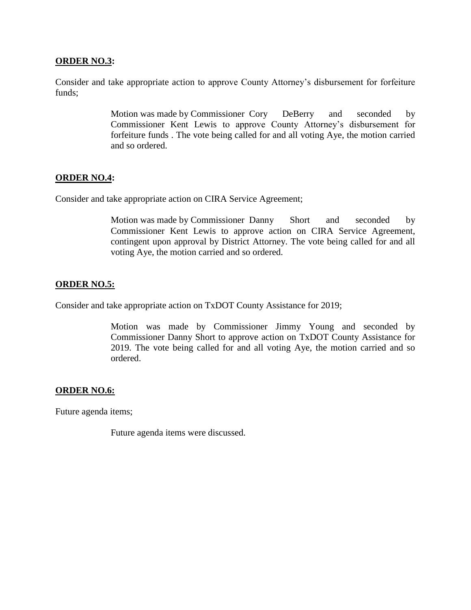#### **ORDER NO.3:**

Consider and take appropriate action to approve County Attorney's disbursement for forfeiture funds;

> Motion was made by Commissioner Cory DeBerry and seconded by Commissioner Kent Lewis to approve County Attorney's disbursement for forfeiture funds . The vote being called for and all voting Aye, the motion carried and so ordered.

## **ORDER NO.4:**

Consider and take appropriate action on CIRA Service Agreement;

Motion was made by Commissioner Danny Short and seconded by Commissioner Kent Lewis to approve action on CIRA Service Agreement, contingent upon approval by District Attorney. The vote being called for and all voting Aye, the motion carried and so ordered.

#### **ORDER NO.5:**

Consider and take appropriate action on TxDOT County Assistance for 2019;

Motion was made by Commissioner Jimmy Young and seconded by Commissioner Danny Short to approve action on TxDOT County Assistance for 2019. The vote being called for and all voting Aye, the motion carried and so ordered.

#### **ORDER NO.6:**

Future agenda items;

Future agenda items were discussed.